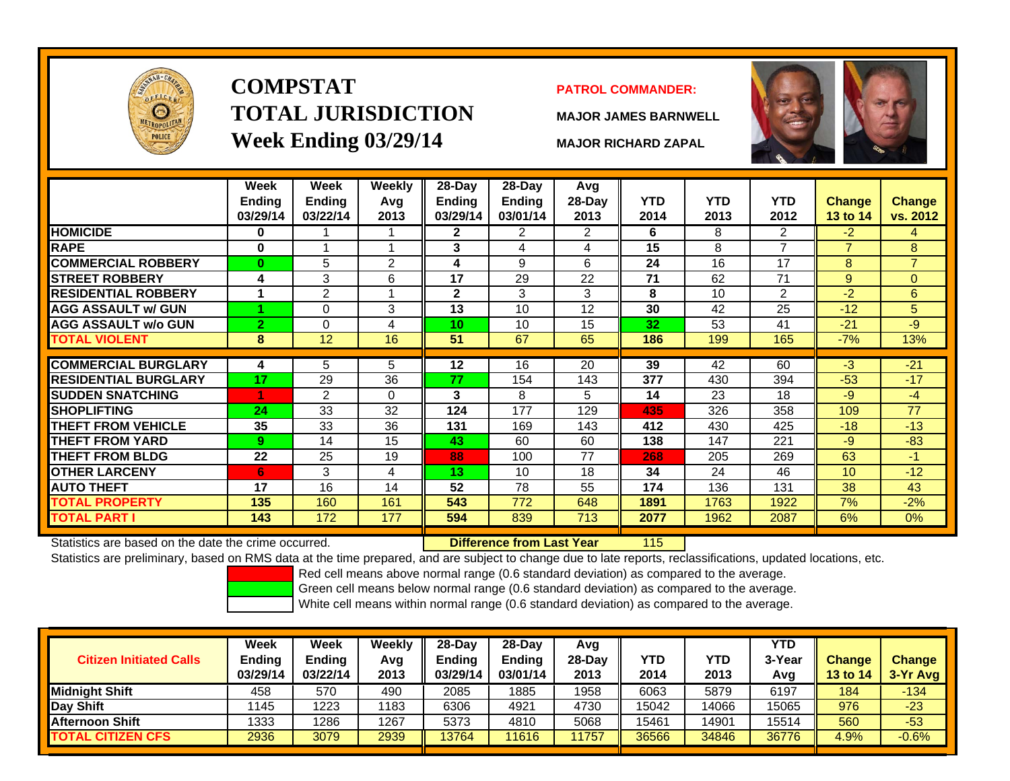

# **COMPSTATTOTAL JURISDICTIONWeek Ending 03/29/14 MAJOR RICHARD ZAPAL**

### **PATROL COMMANDER:**

**MAJOR JAMES BARNWELL**



115

|                             | Week<br>Ending<br>03/29/14 | Week<br><b>Ending</b><br>03/22/14 | Weekly<br>Avg<br>2013 | 28-Day<br>Ending<br>03/29/14 | 28-Day<br><b>Ending</b><br>03/01/14 | Avg<br>28-Day<br>2013 | <b>YTD</b><br>2014 | <b>YTD</b><br>2013 | <b>YTD</b><br>2012 | <b>Change</b><br><b>13 to 14</b> | Change<br>vs. 2012 |
|-----------------------------|----------------------------|-----------------------------------|-----------------------|------------------------------|-------------------------------------|-----------------------|--------------------|--------------------|--------------------|----------------------------------|--------------------|
| <b>HOMICIDE</b>             | 0                          |                                   |                       | 2                            | 2                                   | 2                     | 6                  | 8                  | 2                  | $-2$                             | 4                  |
| <b>RAPE</b>                 | $\bf{0}$                   |                                   | 4                     | 3                            | 4                                   | 4                     | 15                 | 8                  | 7                  | $\overline{7}$                   | 8                  |
| <b>COMMERCIAL ROBBERY</b>   | $\bf{0}$                   | 5                                 | $\overline{2}$        | 4                            | 9                                   | 6                     | 24                 | 16                 | 17                 | 8                                | $\overline{7}$     |
| <b>STREET ROBBERY</b>       | 4                          | 3                                 | 6                     | 17                           | 29                                  | 22                    | 71                 | 62                 | 71                 | 9                                | $\Omega$           |
| <b>RESIDENTIAL ROBBERY</b>  |                            | $\overline{2}$                    | 1                     | $\mathbf{2}$                 | 3                                   | 3                     | 8                  | 10                 | $\overline{2}$     | $-2$                             | 6                  |
| <b>AGG ASSAULT w/ GUN</b>   |                            | 0                                 | 3                     | 13                           | 10                                  | 12                    | 30                 | 42                 | 25                 | $-12$                            | 5                  |
| <b>IAGG ASSAULT w/o GUN</b> | $\overline{2}$             | 0                                 | 4                     | 10                           | 10                                  | 15                    | 32                 | 53                 | 41                 | $-21$                            | -9                 |
| <b>TOTAL VIOLENT</b>        | 8                          | 12                                | 16                    | 51                           | 67                                  | 65                    | 186                | 199                | 165                | $-7%$                            | 13%                |
| <b>COMMERCIAL BURGLARY</b>  | 4                          | 5                                 | 5                     | 12                           | 16                                  | 20                    | 39                 | 42                 | 60                 | $-3$                             | $-21$              |
|                             |                            |                                   |                       |                              |                                     |                       |                    |                    |                    |                                  |                    |
| <b>RESIDENTIAL BURGLARY</b> | 17                         | 29                                | 36                    | 77                           | 154                                 | 143                   | 377                | 430                | 394                | $-53$                            | $-17$              |
| <b>SUDDEN SNATCHING</b>     |                            | 2                                 | $\Omega$              | 3                            | 8                                   | 5                     | 14                 | 23                 | 18                 | $-9$                             | $-4$               |
| <b>ISHOPLIFTING</b>         | 24                         | 33                                | 32                    | 124                          | 177                                 | 129                   | 435                | 326                | 358                | 109                              | 77                 |
| <b>THEFT FROM VEHICLE</b>   | 35                         | 33                                | 36                    | 131                          | 169                                 | 143                   | 412                | 430                | 425                | $-18$                            | $-13$              |
| <b>THEFT FROM YARD</b>      | 9                          | 14                                | 15                    | 43                           | 60                                  | 60                    | 138                | 147                | 221                | $-9$                             | $-83$              |
| <b>THEFT FROM BLDG</b>      | 22                         | 25                                | 19                    | 88                           | 100                                 | 77                    | 268                | 205                | 269                | 63                               | -1.                |
| <b>OTHER LARCENY</b>        | 6                          | 3                                 | 4                     | 13                           | 10                                  | 18                    | 34                 | 24                 | 46                 | 10                               | $-12$              |
| <b>AUTO THEFT</b>           | 17                         | 16                                | 14                    | 52                           | 78                                  | 55                    | 174                | 136                | 131                | 38                               | 43                 |
| <b>TOTAL PROPERTY</b>       | 135                        | 160                               | 161                   | 543                          | 772                                 | 648                   | 1891               | 1763               | 1922               | 7%                               | $-2%$              |
| <b>TOTAL PART I</b>         | 143                        | 172                               | 177                   | 594                          | 839                                 | 713                   | 2077               | 1962               | 2087               | 6%                               | $0\%$              |

Statistics are based on the date the crime occurred. **Difference from Last Year** 

Statistics are preliminary, based on RMS data at the time prepared, and are subject to change due to late reports, reclassifications, updated locations, etc.

Red cell means above normal range (0.6 standard deviation) as compared to the average.

Green cell means below normal range (0.6 standard deviation) as compared to the average.

| <b>Citizen Initiated Calls</b> | Week<br><b>Ending</b><br>03/29/14 | <b>Week</b><br><b>Ending</b><br>03/22/14 | Weekly<br>Avg<br>2013 | $28-Dav$<br><b>Ending</b><br>03/29/14 | $28-Day$<br><b>Ending</b><br>03/01/14 | Avg<br>28-Dav<br>2013 | YTD<br>2014 | YTD<br>2013 | <b>YTD</b><br>3-Year<br>Avg | <b>Change</b><br><b>13 to 14</b> | <b>Change</b><br>3-Yr Avg |
|--------------------------------|-----------------------------------|------------------------------------------|-----------------------|---------------------------------------|---------------------------------------|-----------------------|-------------|-------------|-----------------------------|----------------------------------|---------------------------|
| <b>I</b> Midniaht Shift        | 458                               | 570                                      | 490                   | 2085                                  | 1885                                  | 1958                  | 6063        | 5879        | 6197                        | 184                              | $-134$                    |
| Day Shift                      | 1145                              | 1223                                     | 1183                  | 6306                                  | 4921                                  | 4730                  | 15042       | 14066       | 15065                       | 976                              | $-23$                     |
| <b>Afternoon Shift</b>         | 1333                              | 1286                                     | 1267                  | 5373                                  | 4810                                  | 5068                  | 15461       | 4901        | 15514                       | 560                              | $-53$                     |
| <b>TOTAL CITIZEN CFS</b>       | 2936                              | 3079                                     | 2939                  | 3764                                  | 11616                                 | 1757                  | 36566       | 34846       | 36776                       | 4.9%                             | $-0.6%$                   |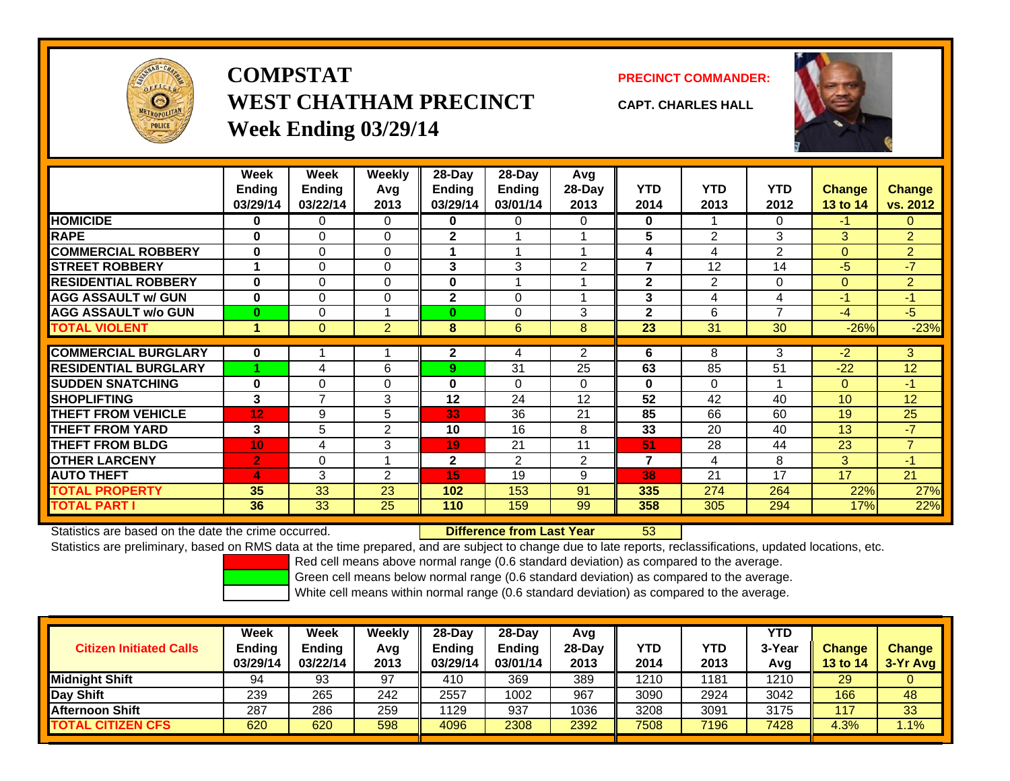

## **COMPSTATWEST CHATHAM PRECINCTWeek Ending 03/29/14**



**CAPT. CHARLES HALL**



|                             | <b>Week</b>    | Week        | Weekly         | 28-Day         | 28-Day         | Avg            |              |                |                |                |                |
|-----------------------------|----------------|-------------|----------------|----------------|----------------|----------------|--------------|----------------|----------------|----------------|----------------|
|                             | Ending         | Ending      | Avg            | Ending         | <b>Ending</b>  | 28-Day         | <b>YTD</b>   | <b>YTD</b>     | <b>YTD</b>     | <b>Change</b>  | <b>Change</b>  |
|                             | 03/29/14       | 03/22/14    | 2013           | 03/29/14       | 03/01/14       | 2013           | 2014         | 2013           | 2012           | 13 to 14       | vs. 2012       |
| <b>HOMICIDE</b>             | 0              | 0           | 0              | 0              | 0              | 0              | $\mathbf 0$  |                | 0              | $-1$           | 0              |
| <b>RAPE</b>                 | $\bf{0}$       | $\Omega$    | $\Omega$       | $\mathbf{2}$   |                |                | 5            | 2              | 3              | 3              | $\overline{2}$ |
| <b>COMMERCIAL ROBBERY</b>   | $\bf{0}$       | $\mathbf 0$ | 0              |                |                |                | 4            | 4              | $\overline{2}$ | $\Omega$       | $\overline{2}$ |
| <b>STREET ROBBERY</b>       |                | $\Omega$    | 0              | 3              | 3              | 2              | 7            | 12             | 14             | $-5$           | $-7$           |
| <b>RESIDENTIAL ROBBERY</b>  | $\bf{0}$       | $\Omega$    | 0              | 0              |                |                | $\mathbf{2}$ | 2              | 0              | $\overline{0}$ | $\overline{2}$ |
| <b>AGG ASSAULT w/ GUN</b>   | $\bf{0}$       | $\Omega$    | $\Omega$       | $\mathbf{2}$   | $\Omega$       |                | 3            | $\overline{4}$ | 4              | $-1$           | $-1$           |
| <b>AGG ASSAULT w/o GUN</b>  | $\bf{0}$       | 0           |                | $\bf{0}$       | 0              | 3              | $\mathbf{2}$ | 6              | $\overline{ }$ | $-4$           | $-5$           |
| <b>TOTAL VIOLENT</b>        |                | $\Omega$    | $\overline{2}$ | 8              | 6              | 8              | 23           | 31             | 30             | $-26%$         | $-23%$         |
|                             |                |             |                |                |                |                |              |                |                |                |                |
| <b>COMMERCIAL BURGLARY</b>  | $\mathbf 0$    |             |                | $\mathbf{2}$   | 4              | $\overline{2}$ | 6            | 8              | 3              | $-2$           | 3              |
| <b>RESIDENTIAL BURGLARY</b> |                | 4           | 6              | 9              | 31             | 25             | 63           | 85             | 51             | $-22$          | 12             |
| <b>SUDDEN SNATCHING</b>     | $\bf{0}$       | $\Omega$    | 0              | $\bf{0}$       | $\Omega$       | $\Omega$       | $\mathbf{0}$ | $\Omega$       |                | $\Omega$       | $-1$           |
| <b>SHOPLIFTING</b>          | 3              | 7           | 3              | 12             | 24             | 12             | 52           | 42             | 40             | 10             | 12             |
| <b>THEFT FROM VEHICLE</b>   | 12             | 9           | 5              | 33             | 36             | 21             | 85           | 66             | 60             | 19             | 25             |
| <b>THEFT FROM YARD</b>      | 3              | 5           | $\overline{2}$ | 10             | 16             | 8              | 33           | 20             | 40             | 13             | $-7$           |
| <b>THEFT FROM BLDG</b>      | 10             | 4           | 3              | 19             | 21             | 11             | 51           | 28             | 44             | 23             | $\overline{7}$ |
| <b>OTHER LARCENY</b>        | $\overline{2}$ | $\Omega$    |                | $\overline{2}$ | $\mathfrak{p}$ | 2              | 7            | 4              | 8              | 3              | $-1$           |
| <b>AUTO THEFT</b>           | 4              | 3           | $\overline{2}$ | 15             | 19             | 9              | 38           | 21             | 17             | 17             | 21             |
| <b>TOTAL PROPERTY</b>       | 35             | 33          | 23             | 102            | 153            | 91             | 335          | 274            | 264            | 22%            | 27%            |
| <b>TOTAL PART I</b>         | 36             | 33          | 25             | 110            | 159            | 99             | 358          | 305            | 294            | 17%            | 22%            |

Statistics are based on the date the crime occurred. **Difference from Last Year** 

r 53

Statistics are preliminary, based on RMS data at the time prepared, and are subject to change due to late reports, reclassifications, updated locations, etc.

Red cell means above normal range (0.6 standard deviation) as compared to the average.

Green cell means below normal range (0.6 standard deviation) as compared to the average.

| <b>Citizen Initiated Calls</b> | <b>Week</b><br><b>Ending</b> | Week<br><b>Ending</b> | Weeklv<br>Avg | $28-Day$<br><b>Ending</b> | 28-Dav<br><b>Ending</b> | Avg<br>$28-Day$ | <b>YTD</b> | <b>YTD</b> | <b>YTD</b><br>3-Year | <b>Change</b> | <b>Change</b> |
|--------------------------------|------------------------------|-----------------------|---------------|---------------------------|-------------------------|-----------------|------------|------------|----------------------|---------------|---------------|
|                                | 03/29/14                     | 03/22/14              | 2013          | 03/29/14                  | 03/01/14                | 2013            | 2014       | 2013       | Avg                  | 13 to 14      | $3-Yr$ Avg    |
| <b>Midnight Shift</b>          | 94                           | 93                    | 97            | 410                       | 369                     | 389             | 1210       | 181        | 1210                 | 29            |               |
| Day Shift                      | 239                          | 265                   | 242           | 2557                      | 1002                    | 967             | 3090       | 2924       | 3042                 | 166           | 48            |
| <b>Afternoon Shift</b>         | 287                          | 286                   | 259           | 1129                      | 937                     | 1036            | 3208       | 3091       | 3175                 | 117           | 33            |
| <b>TOTAL CITIZEN CFS</b>       | 620                          | 620                   | 598           | 4096                      | 2308                    | 2392            | 7508       | 7196       | 7428                 | 4.3%          | $.1\%$        |
|                                |                              |                       |               |                           |                         |                 |            |            |                      |               |               |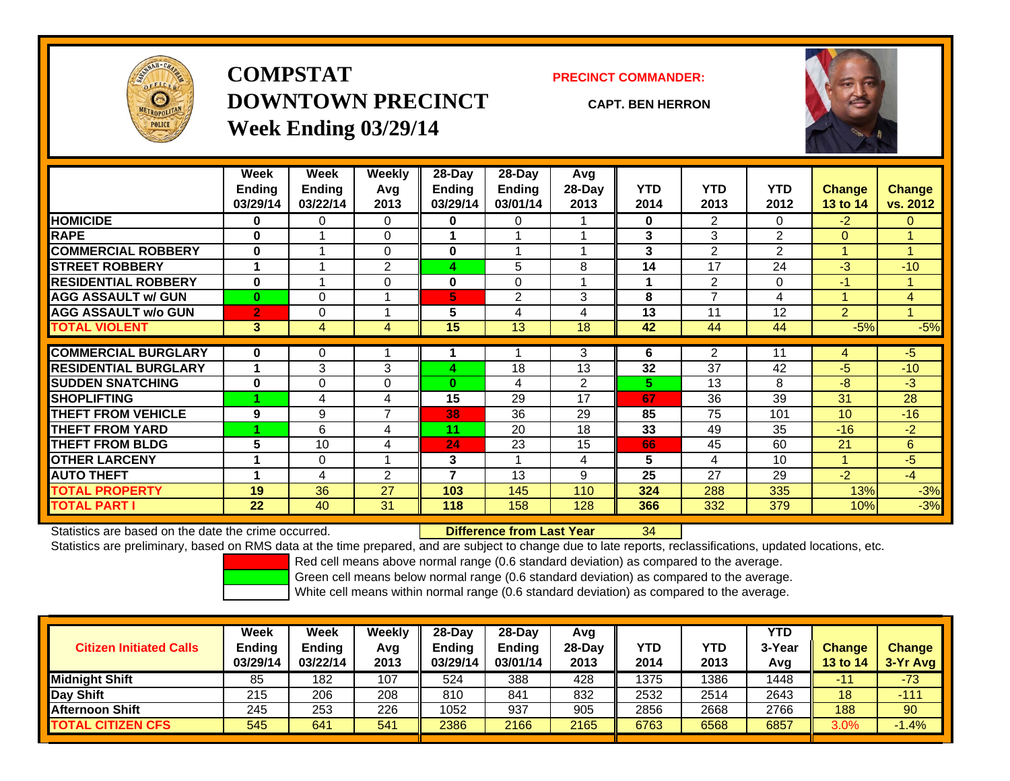

**COMPSTATDOWNTOWN PRECINCTWeek Ending 03/29/14**

#### **PRECINCT COMMANDER:**

**CAPT. BEN HERRON**



|                             | Week           | Week          | Weekly         | 28-Day                   | 28-Day         | Avg            |            |                |                |                 |                |
|-----------------------------|----------------|---------------|----------------|--------------------------|----------------|----------------|------------|----------------|----------------|-----------------|----------------|
|                             | <b>Ending</b>  | <b>Ending</b> | Avq            | Ending                   | <b>Ending</b>  | 28-Day         | <b>YTD</b> | <b>YTD</b>     | <b>YTD</b>     | <b>Change</b>   | <b>Change</b>  |
|                             | 03/29/14       | 03/22/14      | 2013           | 03/29/14                 | 03/01/14       | 2013           | 2014       | 2013           | 2012           | 13 to 14        | vs. 2012       |
| <b>HOMICIDE</b>             | 0              | 0             | $\Omega$       | 0                        | 0              |                | $\bf{0}$   | 2              | $\Omega$       | $-2$            | $\mathbf{0}$   |
| <b>RAPE</b>                 | $\bf{0}$       |               | $\mathbf 0$    |                          |                |                | 3          | 3              | 2              | $\Omega$        |                |
| <b>COMMERCIAL ROBBERY</b>   | $\bf{0}$       |               | $\Omega$       | $\bf{0}$                 |                |                | 3          | 2              | $\overline{2}$ | 1               | 4              |
| <b>STREET ROBBERY</b>       |                |               | $\overline{2}$ | 4                        | 5              | 8              | 14         | 17             | 24             | $-3$            | $-10$          |
| <b>RESIDENTIAL ROBBERY</b>  | $\bf{0}$       | 4             | $\mathbf 0$    | 0                        | $\Omega$       |                |            | $\overline{2}$ | $\Omega$       | $-1$            | -1             |
| <b>AGG ASSAULT w/ GUN</b>   | $\bf{0}$       | 0             |                | 5                        | $\overline{2}$ | 3              | 8          | $\overline{7}$ | 4              | 1               | $\overline{4}$ |
| <b>AGG ASSAULT w/o GUN</b>  | $\overline{2}$ | 0             |                | 5                        | 4              | 4              | 13         | 11             | 12             | $\overline{2}$  |                |
| <b>TOTAL VIOLENT</b>        | 3              | 4             | 4              | 15                       | 13             | 18             | 42         | 44             | 44             | $-5%$           | $-5%$          |
| <b>COMMERCIAL BURGLARY</b>  | $\bf{0}$       | 0             |                |                          |                | 3              | 6          | 2              | 11             | 4               | $-5$           |
|                             |                |               |                |                          |                |                |            |                |                |                 |                |
| <b>RESIDENTIAL BURGLARY</b> | 1              | 3             | 3              | 4                        | 18             | 13             | 32         | 37             | 42             | $-5$            | $-10$          |
| <b>SUDDEN SNATCHING</b>     | $\bf{0}$       | 0             | $\Omega$       | $\bf{0}$                 | 4              | $\overline{2}$ | 5.         | 13             | 8              | $-8$            | $-3$           |
| <b>SHOPLIFTING</b>          |                | 4             | 4              | 15                       | 29             | 17             | 67         | 36             | 39             | 31              | 28             |
| <b>THEFT FROM VEHICLE</b>   | 9              | 9             | $\overline{7}$ | 38                       | 36             | 29             | 85         | 75             | 101            | 10 <sup>1</sup> | $-16$          |
| <b>THEFT FROM YARD</b>      |                | 6             | 4              | 11                       | 20             | 18             | 33         | 49             | 35             | $-16$           | $-2$           |
| <b>THEFT FROM BLDG</b>      | 5              | 10            | 4              | 24                       | 23             | 15             | 66         | 45             | 60             | 21              | 6              |
| <b>OTHER LARCENY</b>        | 1              | 0             |                | 3                        |                | 4              | 5          | $\overline{4}$ | 10             | 1               | $-5$           |
| <b>AUTO THEFT</b>           | 4              | 4             | $\overline{2}$ | $\overline{\phantom{a}}$ | 13             | 9              | 25         | 27             | 29             | $-2$            | $-4$           |
| <b>TOTAL PROPERTY</b>       | 19             | 36            | 27             | 103                      | 145            | 110            | 324        | 288            | 335            | 13%             | $-3%$          |
| <b>TOTAL PART I</b>         | 22             | 40            | 31             | 118                      | 158            | 128            | 366        | 332            | 379            | 10%             | $-3%$          |

Statistics are based on the date the crime occurred. **Difference from Last Year** 

#### r 34

Statistics are preliminary, based on RMS data at the time prepared, and are subject to change due to late reports, reclassifications, updated locations, etc.

Red cell means above normal range (0.6 standard deviation) as compared to the average.

Green cell means below normal range (0.6 standard deviation) as compared to the average.

| <b>Citizen Initiated Calls</b> | Week<br><b>Ending</b><br>03/29/14 | Week<br><b>Ending</b><br>03/22/14 | Weekly<br>Avg<br>2013 | $28-Day$<br><b>Ending</b><br>03/29/14 | 28-Day<br><b>Ending</b><br>03/01/14 | Avg<br>28-Dav<br>2013 | YTD<br>2014 | YTD<br>2013 | <b>YTD</b><br>3-Year<br>Avg | <b>Change</b><br><b>13 to 14</b> | <b>Change</b><br>$3-Yr$ Avg |
|--------------------------------|-----------------------------------|-----------------------------------|-----------------------|---------------------------------------|-------------------------------------|-----------------------|-------------|-------------|-----------------------------|----------------------------------|-----------------------------|
| <b>Midnight Shift</b>          | 85                                | 182                               | 107                   | 524                                   | 388                                 | 428                   | 1375        | 1386        | 1448                        | -11                              | $-73$                       |
| Day Shift                      | 215                               | 206                               | 208                   | 810                                   | 841                                 | 832                   | 2532        | 2514        | 2643                        | 18                               | $-111$                      |
| <b>Afternoon Shift</b>         | 245                               | 253                               | 226                   | 1052                                  | 937                                 | 905                   | 2856        | 2668        | 2766                        | 188                              | 90                          |
| <b>TOTAL CITIZEN CFS</b>       | 545                               | 641                               | 541                   | 2386                                  | 2166                                | 2165                  | 6763        | 6568        | 6857                        | 3.0%                             | $-1.4%$                     |
|                                |                                   |                                   |                       |                                       |                                     |                       |             |             |                             |                                  |                             |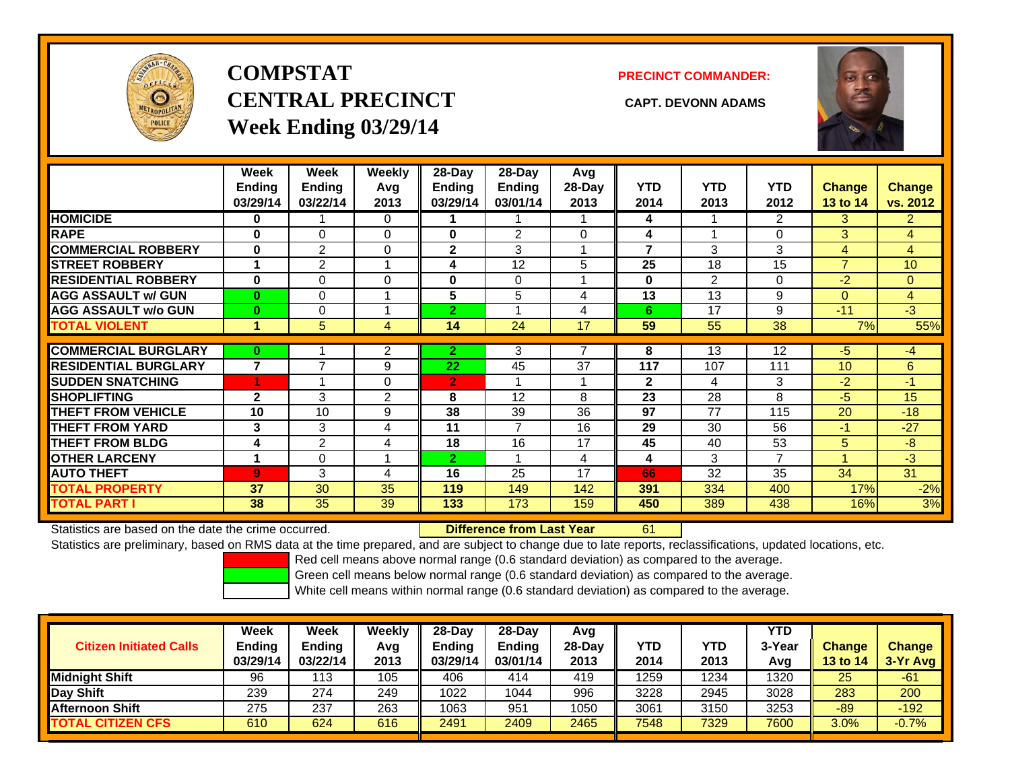

# **COMPSTATCENTRAL PRECINCT CAPT. DEVONN ADAMSWeek Ending 03/29/14**

#### **PRECINCT COMMANDER:**



|                             | Week<br>Ending<br>03/29/14 | Week<br><b>Ending</b><br>03/22/14 | Weekly<br>Avg<br>2013 | 28-Day<br>Ending<br>03/29/14 | $28$ -Day<br>Ending<br>03/01/14 | Avg<br>28-Day<br>2013 | <b>YTD</b><br>2014 | <b>YTD</b><br>2013 | <b>YTD</b><br>2012 | <b>Change</b><br>13 to 14 | Change<br>vs. 2012 |
|-----------------------------|----------------------------|-----------------------------------|-----------------------|------------------------------|---------------------------------|-----------------------|--------------------|--------------------|--------------------|---------------------------|--------------------|
| <b>HOMICIDE</b>             | $\bf{0}$                   |                                   | 0                     |                              |                                 |                       | 4                  |                    | 2                  | 3                         | $\overline{2}$     |
| <b>RAPE</b>                 | $\bf{0}$                   | $\Omega$                          | 0                     | $\bf{0}$                     | 2                               | $\Omega$              | 4                  |                    | 0                  | 3                         | 4                  |
| <b>COMMERCIAL ROBBERY</b>   | $\bf{0}$                   | $\overline{2}$                    | 0                     | $\mathbf{2}$                 | 3                               | 4                     | 7                  | 3                  | 3                  | 4                         | 4                  |
| <b>STREET ROBBERY</b>       | 4                          | $\overline{2}$                    |                       | 4                            | 12                              | 5                     | 25                 | 18                 | 15                 | $\overline{7}$            | 10                 |
| <b>RESIDENTIAL ROBBERY</b>  | $\bf{0}$                   | 0                                 | 0                     | $\bf{0}$                     | $\Omega$                        |                       | $\bf{0}$           | $\overline{2}$     | 0                  | $-2$                      | $\overline{0}$     |
| <b>AGG ASSAULT w/ GUN</b>   | $\mathbf{0}$               | 0                                 |                       | 5                            | 5                               | 4                     | 13                 | 13                 | 9                  | $\Omega$                  | $\overline{4}$     |
| <b>AGG ASSAULT w/o GUN</b>  | $\bf{0}$                   | 0                                 |                       | $\overline{2}$               |                                 | 4                     | 6                  | 17                 | 9                  | $-11$                     | $-3$               |
| <b>TOTAL VIOLENT</b>        | и                          | 5                                 | 4                     | 14                           | $\overline{24}$                 | 17                    | 59                 | 55                 | 38                 | 7%                        | 55%                |
|                             |                            |                                   |                       |                              |                                 |                       |                    |                    |                    |                           |                    |
| <b>COMMERCIAL BURGLARY</b>  | $\bf{0}$                   |                                   | 2                     | 2.                           | 3                               |                       | 8                  | 13                 | 12                 | $-5$                      | -4                 |
| <b>RESIDENTIAL BURGLARY</b> | $\overline{\mathbf{z}}$    | $\overline{ }$                    | 9                     | 22                           | 45                              | 37                    | 117                | 107                | 111                | 10 <sup>1</sup>           | 6                  |
| <b>SUDDEN SNATCHING</b>     | 4                          |                                   | 0                     | $\overline{2}$               |                                 |                       | $\mathbf{2}$       | 4                  | 3                  | $-2$                      | $-1$               |
| <b>SHOPLIFTING</b>          | $\mathbf{2}$               | 3                                 | $\overline{2}$        | 8                            | 12                              | 8                     | 23                 | 28                 | 8                  | $-5$                      | 15                 |
| <b>THEFT FROM VEHICLE</b>   | 10                         | 10                                | 9                     | 38                           | 39                              | 36                    | 97                 | 77                 | 115                | 20                        | $-18$              |
| <b>THEFT FROM YARD</b>      | 3                          | 3                                 | 4                     | 11                           | $\overline{7}$                  | 16                    | 29                 | 30                 | 56                 | $-1$                      | $-27$              |
| <b>THEFT FROM BLDG</b>      | 4                          | $\overline{2}$                    | 4                     | 18                           | 16                              | 17                    | 45                 | 40                 | 53                 | 5 <sup>5</sup>            | $-8$               |
| <b>OTHER LARCENY</b>        | 1                          | $\Omega$                          |                       | $\mathbf{2}$                 |                                 | 4                     | 4                  | 3                  | $\overline{7}$     | и                         | $-3$               |
| <b>AUTO THEFT</b>           | $\overline{9}$             | 3                                 | 4                     | 16                           | 25                              | 17                    | 66                 | 32                 | 35                 | 34                        | 31                 |
| <b>TOTAL PROPERTY</b>       | 37                         | 30                                | 35                    | 119                          | 149                             | 142                   | 391                | 334                | 400                | 17%                       | $-2%$              |
| TOTAL PART I                | 38                         | 35                                | 39                    | 133                          | 173                             | 159                   | 450                | 389                | 438                | 16%                       | 3%                 |

Statistics are based on the date the crime occurred. **Difference from Last Year** 

61

Statistics are preliminary, based on RMS data at the time prepared, and are subject to change due to late reports, reclassifications, updated locations, etc.

Red cell means above normal range (0.6 standard deviation) as compared to the average.

Green cell means below normal range (0.6 standard deviation) as compared to the average.

| <b>Citizen Initiated Calls</b> | <b>Week</b><br><b>Ending</b><br>03/29/14 | Week<br>Ending<br>03/22/14 | Weekly<br>Avg<br>2013 | $28-Day$<br><b>Ending</b><br>03/29/14 | 28-Dav<br><b>Ending</b><br>03/01/14 | Avg<br>$28-Dav$<br>2013 | YTD<br>2014 | <b>YTD</b><br>2013 | YTD<br>3-Year<br>Avg | <b>Change</b><br>13 to $14$ | <b>Change</b><br>3-Yr Avg |
|--------------------------------|------------------------------------------|----------------------------|-----------------------|---------------------------------------|-------------------------------------|-------------------------|-------------|--------------------|----------------------|-----------------------------|---------------------------|
| <b>Midnight Shift</b>          | 96                                       | ∣13                        | 105                   | 406                                   | 414                                 | 419                     | 1259        | 1234               | 1320                 | 25                          | -61                       |
| Day Shift                      | 239                                      | 274                        | 249                   | 1022                                  | 1044                                | 996                     | 3228        | 2945               | 3028                 | 283                         | 200                       |
| <b>Afternoon Shift</b>         | 275                                      | 237                        | 263                   | 1063                                  | 951                                 | 1050                    | 3061        | 3150               | 3253                 | $-89$                       | $-192$                    |
| <b>TOTAL CITIZEN CFS</b>       | 610                                      | 624                        | 616                   | 2491                                  | 2409                                | 2465                    | 7548        | 7329               | 7600                 | 3.0%                        | $-0.7%$                   |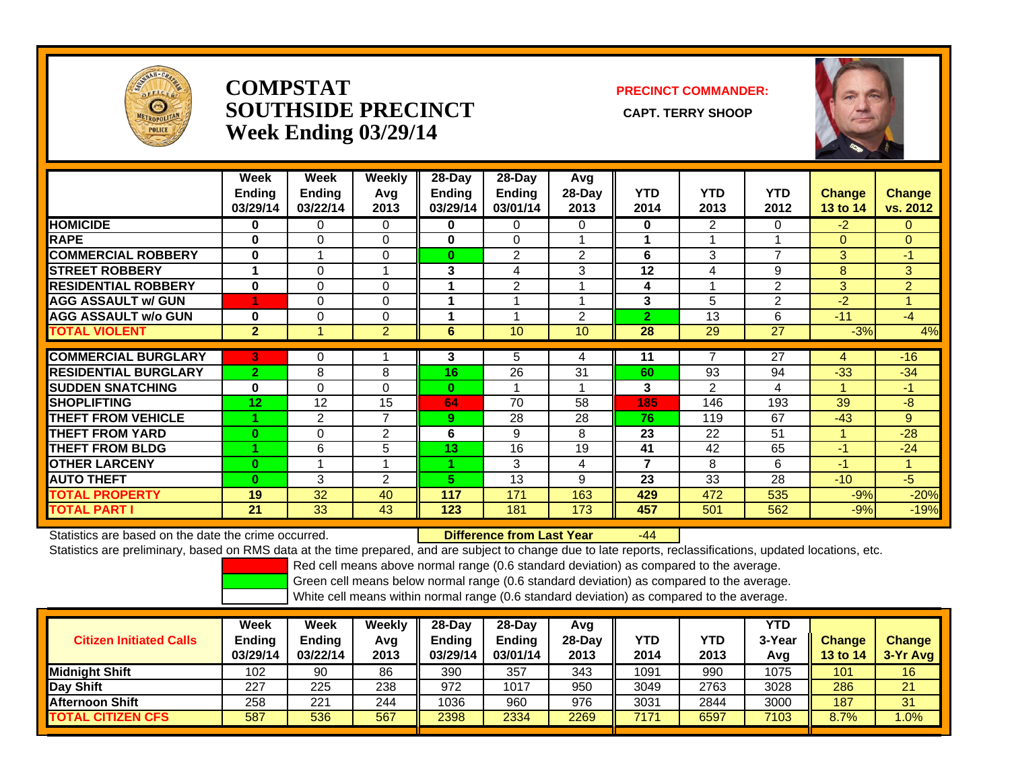

## **COMPSTATSOUTHSIDE PRECINCT** CAPT. TERRY SHOOP **Week Ending 03/29/14**

**PRECINCT COMMANDER:**



|                             | Week<br><b>Ending</b><br>03/29/14 | Week<br><b>Ending</b><br>03/22/14 | <b>Weekly</b><br>Avg<br>2013 | $28-Day$<br><b>Ending</b><br>03/29/14 | $28-Day$<br><b>Ending</b><br>03/01/14 | Avg<br>28-Day<br>2013 | <b>YTD</b><br>2014 | <b>YTD</b><br>2013 | <b>YTD</b><br>2012 | <b>Change</b><br>13 to 14 | <b>Change</b><br>vs. 2012 |
|-----------------------------|-----------------------------------|-----------------------------------|------------------------------|---------------------------------------|---------------------------------------|-----------------------|--------------------|--------------------|--------------------|---------------------------|---------------------------|
| <b>HOMICIDE</b>             | 0                                 | 0                                 | $\Omega$                     | 0                                     | 0                                     | 0                     | 0                  | $\overline{2}$     | 0                  | $-2$                      | $\mathbf{0}$              |
| <b>RAPE</b>                 | $\bf{0}$                          | $\Omega$                          | 0                            | $\bf{0}$                              | 0                                     |                       | 1                  |                    |                    | $\mathbf{0}$              | $\overline{0}$            |
| <b>COMMERCIAL ROBBERY</b>   | $\bf{0}$                          |                                   | 0                            | $\bf{0}$                              | 2                                     | 2                     | 6                  | 3                  | 7                  | 3                         | $-1$                      |
| <b>STREET ROBBERY</b>       |                                   | 0                                 | 1                            | 3                                     | 4                                     | 3                     | 12                 | 4                  | 9                  | 8                         | 3                         |
| <b>RESIDENTIAL ROBBERY</b>  | 0                                 | 0                                 | $\Omega$                     |                                       | 2                                     |                       | 4                  |                    | $\mathfrak{p}$     | 3                         | $\overline{2}$            |
| <b>AGG ASSAULT w/ GUN</b>   | и                                 | 0                                 | 0                            |                                       |                                       |                       | 3                  | 5                  | 2                  | $-2$                      | $\blacktriangleleft$      |
| <b>AGG ASSAULT w/o GUN</b>  | $\bf{0}$                          | $\Omega$                          | $\Omega$                     |                                       |                                       | $\overline{2}$        | $\overline{2}$     | 13                 | 6                  | $-11$                     | $-4$                      |
| <b>TOTAL VIOLENT</b>        | $\overline{2}$                    |                                   | $\overline{2}$               | 6                                     | 10                                    | 10                    | 28                 | 29                 | $\overline{27}$    | $-3%$                     | 4%                        |
|                             |                                   |                                   |                              |                                       |                                       |                       |                    |                    |                    |                           |                           |
| <b>COMMERCIAL BURGLARY</b>  | 3                                 | 0                                 |                              | 3                                     | 5                                     | 4                     | 11                 |                    | 27                 | 4                         | $-16$                     |
| <b>RESIDENTIAL BURGLARY</b> | $\overline{2}$                    | 8                                 | 8                            | 16                                    | 26                                    | 31                    | 60                 | 93                 | 94                 | $-33$                     | $-34$                     |
| <b>SUDDEN SNATCHING</b>     | $\bf{0}$                          | $\Omega$                          | 0                            | $\bf{0}$                              |                                       |                       | 3                  | $\overline{2}$     | 4                  |                           | $-1$                      |
| <b>SHOPLIFTING</b>          | 12                                | 12                                | 15                           | 64                                    | 70                                    | 58                    | 185                | 146                | 193                | 39                        | $-8$                      |
| <b>THEFT FROM VEHICLE</b>   |                                   | 2                                 | $\overline{7}$               | 9                                     | 28                                    | 28                    | 76                 | 119                | 67                 | $-43$                     | 9                         |
| <b>THEFT FROM YARD</b>      | $\bf{0}$                          | $\Omega$                          | 2                            | 6                                     | 9                                     | 8                     | 23                 | 22                 | 51                 | -1                        | $-28$                     |
| <b>THEFT FROM BLDG</b>      |                                   | 6                                 | 5                            | 13                                    | 16                                    | 19                    | 41                 | 42                 | 65                 | $-1$                      | $-24$                     |
| <b>OTHER LARCENY</b>        | $\bf{0}$                          |                                   | $\overline{\mathbf{A}}$      |                                       | 3                                     | 4                     | 7                  | 8                  | 6                  | $-1$                      | 1                         |
| <b>AUTO THEFT</b>           | $\bf{0}$                          | 3                                 | $\mathfrak{p}$               | 5.                                    | 13                                    | 9                     | 23                 | 33                 | 28                 | $-10$                     | $-5$                      |
| <b>TOTAL PROPERTY</b>       | 19                                | 32                                | 40                           | 117                                   | 171                                   | 163                   | 429                | 472                | 535                | $-9%$                     | $-20%$                    |
| <b>TOTAL PART I</b>         | 21                                | 33                                | 43                           | 123                                   | 181                                   | 173                   | 457                | 501                | 562                | $-9%$                     | $-19%$                    |

Statistics are based on the date the crime occurred. **Difference from Last Year** 

r -44

Statistics are preliminary, based on RMS data at the time prepared, and are subject to change due to late reports, reclassifications, updated locations, etc.

Red cell means above normal range (0.6 standard deviation) as compared to the average.

Green cell means below normal range (0.6 standard deviation) as compared to the average.

| <b>Citizen Initiated Calls</b> | Week<br>Ending<br>03/29/14 | <b>Week</b><br><b>Ending</b><br>03/22/14 | Weekly<br>Avg<br>2013 | $28-Day$<br><b>Ending</b><br>03/29/14 | $28$ -Dav<br><b>Ending</b><br>03/01/14 | Avg<br>$28-Dav$<br>2013 | YTD<br>2014 | YTD<br>2013 | <b>YTD</b><br>3-Year<br>Avq | <b>Change</b><br>13 to 14 | <b>Change</b><br>3-Yr Avg |
|--------------------------------|----------------------------|------------------------------------------|-----------------------|---------------------------------------|----------------------------------------|-------------------------|-------------|-------------|-----------------------------|---------------------------|---------------------------|
| <b>I</b> Midniaht Shift        | 102                        | 90                                       | 86                    | 390                                   | 357                                    | 343                     | 1091        | 990         | 1075                        | 101                       | 16                        |
| Day Shift                      | 227                        | 225                                      | 238                   | 972                                   | 1017                                   | 950                     | 3049        | 2763        | 3028                        | 286                       | 21                        |
| <b>Afternoon Shift</b>         | 258                        | 221                                      | 244                   | 1036                                  | 960                                    | 976                     | 3031        | 2844        | 3000                        | 187                       | 31                        |
| <b>TOTAL CITIZEN CFS</b>       | 587                        | 536                                      | 567                   | 2398                                  | 2334                                   | 2269                    | 7171        | 6597        | 7103                        | 8.7%                      | .0%                       |